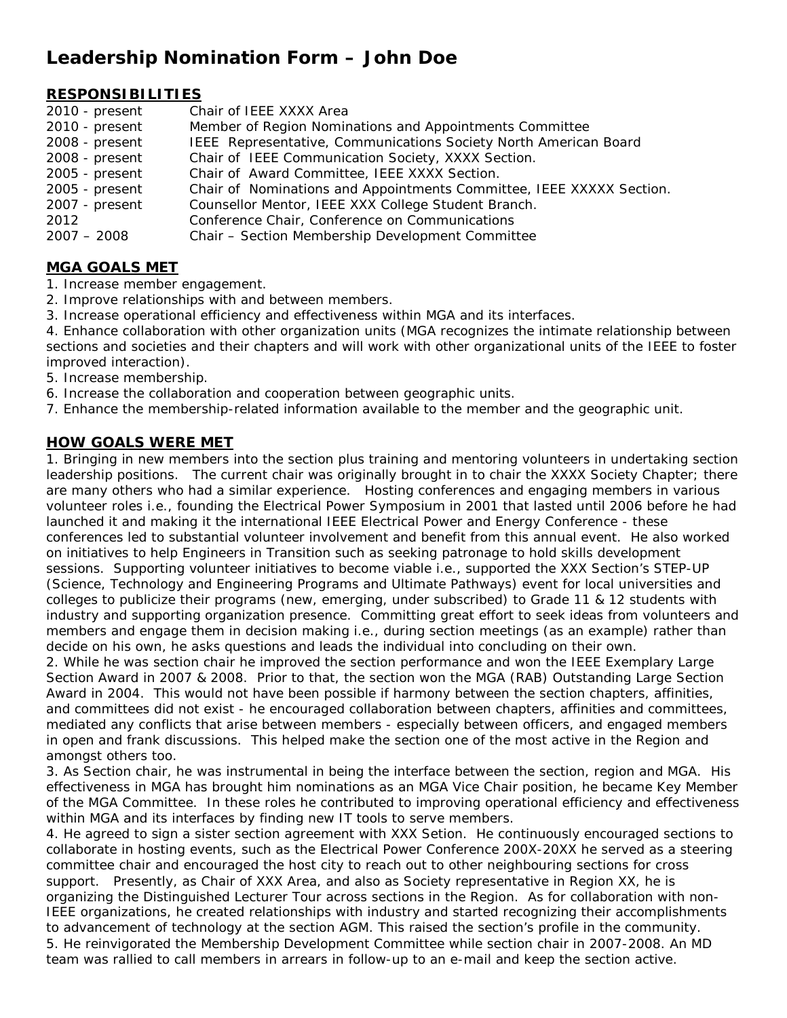# **Leadership Nomination Form – John Doe**

## **RESPONSIBILITIES**

| $2010 - present$ | Chair of IEEE XXXX Area                                              |
|------------------|----------------------------------------------------------------------|
| 2010 - present   | Member of Region Nominations and Appointments Committee              |
| 2008 - present   | IEEE Representative, Communications Society North American Board     |
| 2008 - present   | Chair of IEEE Communication Society, XXXX Section.                   |
| 2005 - present   | Chair of Award Committee, IEEE XXXX Section.                         |
| 2005 - present   | Chair of Nominations and Appointments Committee, IEEE XXXXX Section. |
| 2007 - present   | Counsellor Mentor, IEEE XXX College Student Branch.                  |
| 2012             | Conference Chair, Conference on Communications                       |
| $2007 - 2008$    | Chair - Section Membership Development Committee                     |

## **MGA GOALS MET**

1. Increase member engagement.

- 2. Improve relationships with and between members.
- 3. Increase operational efficiency and effectiveness within MGA and its interfaces.

4. Enhance collaboration with other organization units (MGA recognizes the intimate relationship between sections and societies and their chapters and will work with other organizational units of the IEEE to foster improved interaction).

- 5. Increase membership.
- 6. Increase the collaboration and cooperation between geographic units.
- 7. Enhance the membership-related information available to the member and the geographic unit.

## **HOW GOALS WERE MET**

1. Bringing in new members into the section plus training and mentoring volunteers in undertaking section leadership positions. The current chair was originally brought in to chair the XXXX Society Chapter; there are many others who had a similar experience. Hosting conferences and engaging members in various volunteer roles i.e., founding the Electrical Power Symposium in 2001 that lasted until 2006 before he had launched it and making it the international IEEE Electrical Power and Energy Conference - these conferences led to substantial volunteer involvement and benefit from this annual event. He also worked on initiatives to help Engineers in Transition such as seeking patronage to hold skills development sessions. Supporting volunteer initiatives to become viable i.e., supported the XXX Section's STEP-UP (Science, Technology and Engineering Programs and Ultimate Pathways) event for local universities and colleges to publicize their programs (new, emerging, under subscribed) to Grade 11 & 12 students with industry and supporting organization presence. Committing great effort to seek ideas from volunteers and members and engage them in decision making i.e., during section meetings (as an example) rather than decide on his own, he asks questions and leads the individual into concluding on their own.

2. While he was section chair he improved the section performance and won the IEEE Exemplary Large Section Award in 2007 & 2008. Prior to that, the section won the MGA (RAB) Outstanding Large Section Award in 2004. This would not have been possible if harmony between the section chapters, affinities, and committees did not exist - he encouraged collaboration between chapters, affinities and committees, mediated any conflicts that arise between members - especially between officers, and engaged members in open and frank discussions. This helped make the section one of the most active in the Region and amongst others too.

3. As Section chair, he was instrumental in being the interface between the section, region and MGA. His effectiveness in MGA has brought him nominations as an MGA Vice Chair position, he became Key Member of the MGA Committee. In these roles he contributed to improving operational efficiency and effectiveness within MGA and its interfaces by finding new IT tools to serve members.

4. He agreed to sign a sister section agreement with XXX Setion. He continuously encouraged sections to collaborate in hosting events, such as the Electrical Power Conference 200X-20XX he served as a steering committee chair and encouraged the host city to reach out to other neighbouring sections for cross support. Presently, as Chair of XXX Area, and also as Society representative in Region XX, he is organizing the Distinguished Lecturer Tour across sections in the Region. As for collaboration with non-IEEE organizations, he created relationships with industry and started recognizing their accomplishments to advancement of technology at the section AGM. This raised the section's profile in the community. 5. He reinvigorated the Membership Development Committee while section chair in 2007-2008. An MD team was rallied to call members in arrears in follow-up to an e-mail and keep the section active.